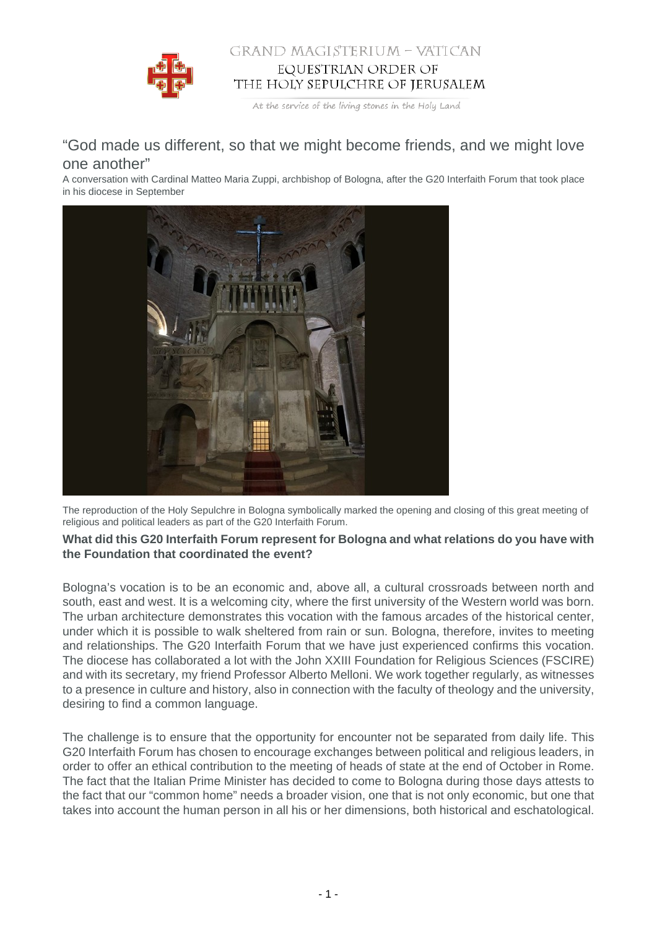

## GRAND MAGISTERIUM - VATICAN EQUESTRIAN ORDER OF THE HOLY SEPULCHRE OF JERUSALEM

At the service of the living stones in the Holy Land

## "God made us different, so that we might become friends, and we might love one another"

A conversation with Cardinal Matteo Maria Zuppi, archbishop of Bologna, after the G20 Interfaith Forum that took place in his diocese in September



The reproduction of the Holy Sepulchre in Bologna symbolically marked the opening and closing of this great meeting of religious and political leaders as part of the G20 Interfaith Forum.

## **What did this G20 Interfaith Forum represent for Bologna and what relations do you have with the Foundation that coordinated the event?**

Bologna's vocation is to be an economic and, above all, a cultural crossroads between north and south, east and west. It is a welcoming city, where the first university of the Western world was born. The urban architecture demonstrates this vocation with the famous arcades of the historical center, under which it is possible to walk sheltered from rain or sun. Bologna, therefore, invites to meeting and relationships. The G20 Interfaith Forum that we have just experienced confirms this vocation. The diocese has collaborated a lot with the John XXIII Foundation for Religious Sciences (FSCIRE) and with its secretary, my friend Professor Alberto Melloni. We work together regularly, as witnesses to a presence in culture and history, also in connection with the faculty of theology and the university, desiring to find a common language.

The challenge is to ensure that the opportunity for encounter not be separated from daily life. This G20 Interfaith Forum has chosen to encourage exchanges between political and religious leaders, in order to offer an ethical contribution to the meeting of heads of state at the end of October in Rome. The fact that the Italian Prime Minister has decided to come to Bologna during those days attests to the fact that our "common home" needs a broader vision, one that is not only economic, but one that takes into account the human person in all his or her dimensions, both historical and eschatological.